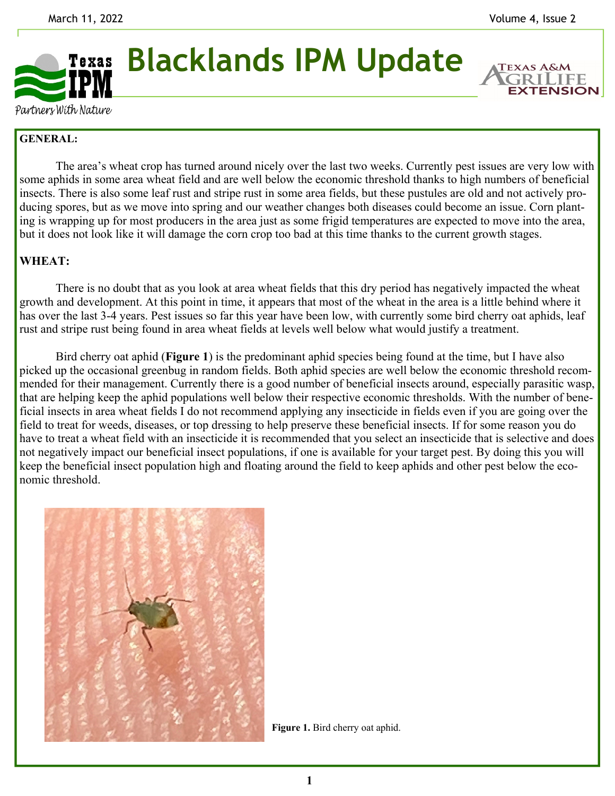

**Blacklands IPM Update** 

**EXTENSION** 

Partners With Nature

## **GENERAL:**

 The area's wheat crop has turned around nicely over the last two weeks. Currently pest issues are very low with some aphids in some area wheat field and are well below the economic threshold thanks to high numbers of beneficial insects. There is also some leaf rust and stripe rust in some area fields, but these pustules are old and not actively producing spores, but as we move into spring and our weather changes both diseases could become an issue. Corn planting is wrapping up for most producers in the area just as some frigid temperatures are expected to move into the area, but it does not look like it will damage the corn crop too bad at this time thanks to the current growth stages.

## **WHEAT:**

There is no doubt that as you look at area wheat fields that this dry period has negatively impacted the wheat growth and development. At this point in time, it appears that most of the wheat in the area is a little behind where it has over the last 3-4 years. Pest issues so far this year have been low, with currently some bird cherry oat aphids, leaf rust and stripe rust being found in area wheat fields at levels well below what would justify a treatment.

 Bird cherry oat aphid (**Figure 1**) is the predominant aphid species being found at the time, but I have also picked up the occasional greenbug in random fields. Both aphid species are well below the economic threshold recommended for their management. Currently there is a good number of beneficial insects around, especially parasitic wasp, that are helping keep the aphid populations well below their respective economic thresholds. With the number of beneficial insects in area wheat fields I do not recommend applying any insecticide in fields even if you are going over the field to treat for weeds, diseases, or top dressing to help preserve these beneficial insects. If for some reason you do have to treat a wheat field with an insecticide it is recommended that you select an insecticide that is selective and does not negatively impact our beneficial insect populations, if one is available for your target pest. By doing this you will keep the beneficial insect population high and floating around the field to keep aphids and other pest below the economic threshold.



**Figure 1.** Bird cherry oat aphid.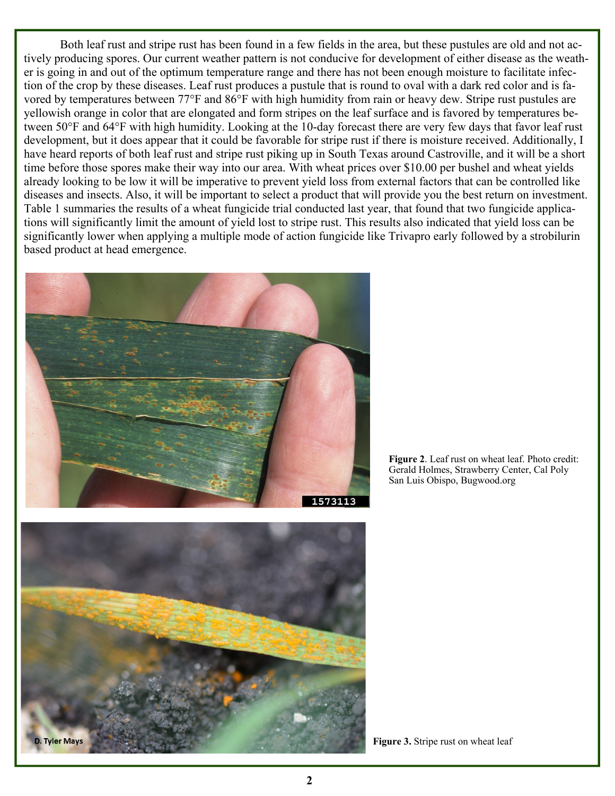Both leaf rust and stripe rust has been found in a few fields in the area, but these pustules are old and not actively producing spores. Our current weather pattern is not conducive for development of either disease as the weather is going in and out of the optimum temperature range and there has not been enough moisture to facilitate infection of the crop by these diseases. Leaf rust produces a pustule that is round to oval with a dark red color and is favored by temperatures between 77°F and 86°F with high humidity from rain or heavy dew. Stripe rust pustules are yellowish orange in color that are elongated and form stripes on the leaf surface and is favored by temperatures between 50°F and 64°F with high humidity. Looking at the 10-day forecast there are very few days that favor leaf rust development, but it does appear that it could be favorable for stripe rust if there is moisture received. Additionally, I have heard reports of both leaf rust and stripe rust piking up in South Texas around Castroville, and it will be a short time before those spores make their way into our area. With wheat prices over \$10.00 per bushel and wheat yields already looking to be low it will be imperative to prevent yield loss from external factors that can be controlled like diseases and insects. Also, it will be important to select a product that will provide you the best return on investment. Table 1 summaries the results of a wheat fungicide trial conducted last year, that found that two fungicide applications will significantly limit the amount of yield lost to stripe rust. This results also indicated that yield loss can be significantly lower when applying a multiple mode of action fungicide like Trivapro early followed by a strobilurin based product at head emergence.



**Figure 2**. Leaf rust on wheat leaf. Photo credit: Gerald Holmes, Strawberry Center, Cal Poly San Luis Obispo, Bugwood.org



**Figure 3.** Stripe rust on wheat leaf